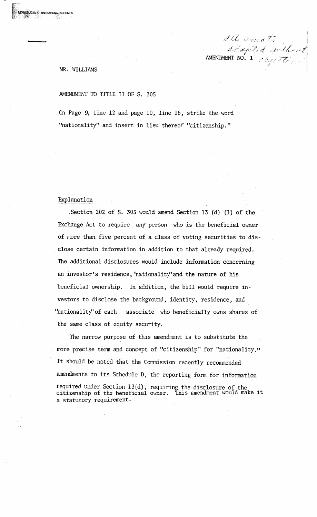#### $\mathcal{P} = \mathcal{P} \subset \mathcal{P}$ AMENDMENT NO. 1

# MR. WILLIAMS

**RODUCED AT THE NATIONAL ARCHIVES** 

AMENDMENT TO TITLE II OF S. 305

On Page 9, line 12 and page 10, line 16, strike the word "nationality" and insert in lieu thereof "citizenship."

# Explanation

.Section 202 of S. 305 would amend Section 13 (d) (1) of the Exchange Act to require any person who is the beneficial owner of more than five percent of a class of voting securities to disclose certain information in addition to that already required. The additional disclosures would include information concerning an investor's residence, 'hationality'and the nature of his beneficial ownership. In addition, the bill would require investors to disclose the background, identity, residence, and 'hationality' of each associate who beneficially owns shares of the same class of equity security.

The narrow purpose of this amendment is to substitute the more precise term and concept of "citizenship" for "nationality." It should be noted that the Commission recently recommended amendments to its Schedule D, the reporting form for information required under Section 13(d), requiring the disclosure of the citizenship of the beneficial owner. This amendment would make it a statutory requirement.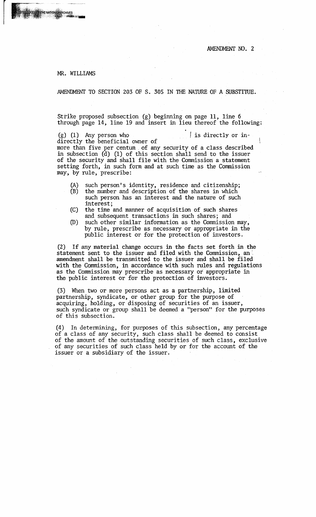ļ

## MR. WILLIAMS

**AT THE NATIONAL ARCHIVES** 

AMENDMENT TO SECTION 203 OF S. 305 IN THE NATURE OF A SUBSTITUE.

Strike proposed subsection (g) beginning on page 11, line 6 through page 14, line 19 and insert in lieu thereof the following:

(g) (1) Any person who  $\vert$  is directly or indirectly the beneficial owner of more than five per centwn . of any security of a class described in subsection (d) (1) of this section shall send to the issuer of the security and shall file with the Commission a statement setting forth, in such form and at such time as the Commission may, by rule, prescribe:

- (A) such person's identity, residence and citizenship; (B) the number and description of the shares in which
- such person has an interest and the nature of such interest;
- (C) the time and manner of acquisition of such shares and subsequent transactions in such shares; and
- CD) such other similar information as the Commission may, by rule, prescribe as necessary or appropriate in the public interest or for the protection of investors.

(2) If any material change occurs in the facts set forth in the statement sent to the issuer and filed with the Commission, an: amendment shall be transmitted to the issuer and shall be filed with the Commission, in accordance with such rules and regulations as the Commission may prescribe as necessary or appropriate in the public interest or for the protection of investors.

(3) When two or more persons act as a partnership, limited partnership, syndicate, or other group for the purpose of acquiring, holding, or disposing of securities of an issuer, such syndicate or group shall be deemed a "person" for the purposes of this subsection.

(4) In determining, for purposes of this subsection, any percentage of a class of any security, such class shall be deemed to consist of the amount of the outstanding securities of such class, exclusive of any securities of such class held by or for the account of the issuer or a subsidiary of the issuer.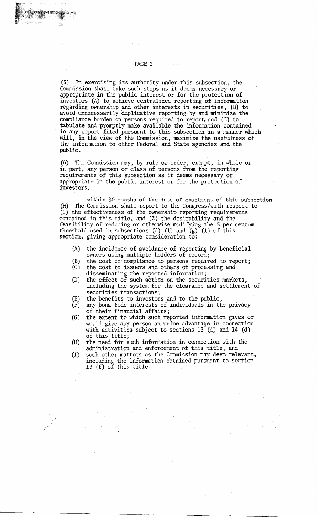(5) In exercising its authority under this subsection, the Commission shall take such steps as it deems necessary or appropriate in the public interest or for the protection of investors (A) to achieve centralized reporting of information regarding ownership and other interests in securities, (B) to avoid unnecessarily duplicative reporting by and minimize the compliance burden on persons required to report, and  $(C)$  to tabulate and promptly make available the information contained in any report filed pursuant to this subsection in a manner which will, in the view of the Commission, maximize the usefulness of the information to other Federal and State agencies and the public.

(6) The Commission may, by rule or order, exempt, in whole or in part, any person or class of persons from the reporting requirements of this subsection as it deems necessary or appropriate in the public interest or for the protection of investors.

within 30 months of the date of enactment of this subsection (H) The Commission shall report to the Congress/with respect to (1) the effectiveness of the ownership reporting requirements contained in this title, and (2) the desirability and the feasibility of reducing or otherwise modifying the 5 per centum threshold used in subsections (d) (1) and  $(g)$  (1) of this section, giving appropriate consideration to:

- (A) the incidence of avoidance of reporting by beneficial owners using multiple holders of record;
- (B) the cost of compliance to persons required to report;
- (C) the cost to issuers and others of processing and disseminating the reported information;
- (D) the effect of such action on the securities markets, including the system for the clearance and settlement of securities transactions;
- (E) the benefits to investors and to the public;
- (F) any bona fide interests of individuals in the privacy of their financial affairs;
- (G) the extent to which such reported information gives or would give any person an undue advantage in connection with activities subject to sections 13 (d) and 14 (d) of this title;
- (H) the need for such information in connection with the administration and enforcement of this title; and
- (I) such other matters as the Commission may deem relevant, including the information obtained pursuant to section 13 (f) of this title:

E NATIONAL ARCHIVES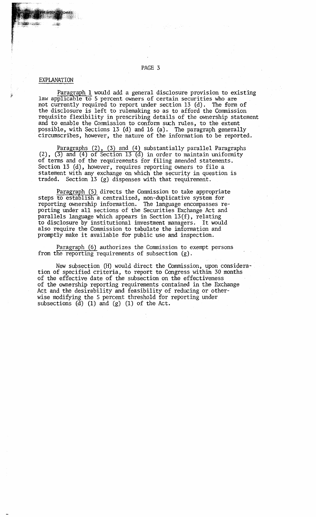# PAGE 3

# EXPLANATION

Paragraph 1 would add a general disclosure provision to existing law applicable to 5 percent owners of certain securities who are not currently required to report under section 13 (d). The form of the disclosure is left to rulemaking so as to afford the Commission requisite flexibility in prescribing details of the ownership statement and to enable the Commission to conform such rules, to the extent possible, with Sections 13 (d) and 16 (a). The paragraph generally circumscribes, however, the nature of the information to be reported.

Paragraphs (2), (3) and (4) substantially parallel Paragraphs (2),  $(3)$  and  $(4)$  of Section 13  $(d)$  in order to maintain uniformity of terms and of the requirements for filing amended statements. Section 13 (d), however, requires reporting owners to file a statement with any exchange on which the security in question is traded. Section 13 (g) dispenses with that requirement.

Paragraph (5) directs the Commission to take appropriate steps to establish a centralized, non-duplicative system for reporting ownership information. The language encompasses reporting under all sections of the Securities Exchange Act and parallels language which appears in Section l3(f), relating to disclosure by institutional investment managers. It would also require the Commission to tabulate the information and promptly make it available for public use and inspection.

Paragraph (6) authorizes the Commission to exempt persons from the reporting requirements of subsection (g).

New subsection (H) would direct the Commission, upon consideration of specified criteria, to report to Congress within 30 months of the effective date of the subsection on the effectiveness of the ownership reporting requirements contained in the Exchange Act and the desirability and feasibility of reducing or otherwise modifying the 5 percent threshold for reporting under subsections  $(d)$  (1) and  $(g)$  (1) of the Act.